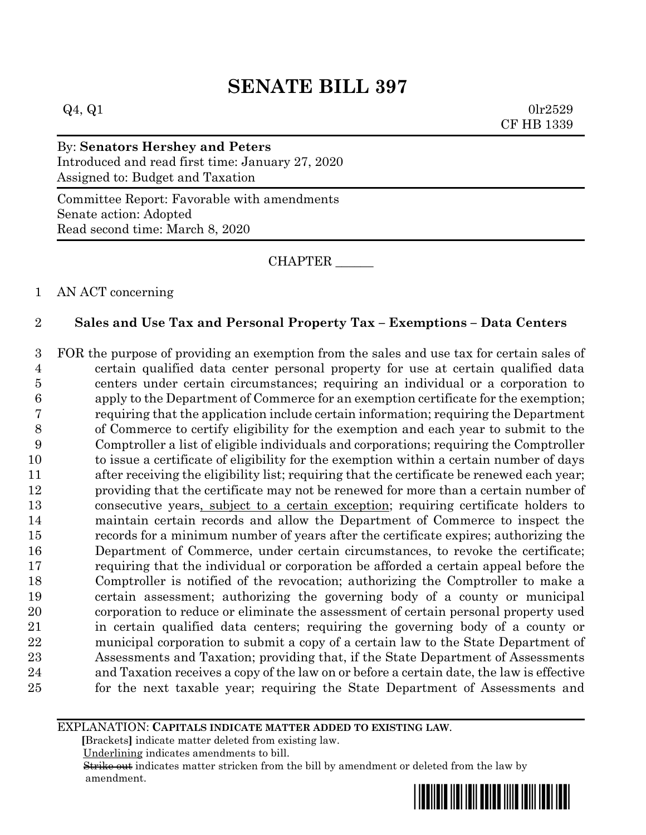# **SENATE BILL 397**

 $Q_4$ ,  $Q_1$  0lr2529 CF HB 1339

#### By: **Senators Hershey and Peters** Introduced and read first time: January 27, 2020 Assigned to: Budget and Taxation

Committee Report: Favorable with amendments Senate action: Adopted Read second time: March 8, 2020

CHAPTER \_\_\_\_\_\_

### AN ACT concerning

## **Sales and Use Tax and Personal Property Tax – Exemptions – Data Centers**

 FOR the purpose of providing an exemption from the sales and use tax for certain sales of certain qualified data center personal property for use at certain qualified data centers under certain circumstances; requiring an individual or a corporation to apply to the Department of Commerce for an exemption certificate for the exemption; requiring that the application include certain information; requiring the Department of Commerce to certify eligibility for the exemption and each year to submit to the Comptroller a list of eligible individuals and corporations; requiring the Comptroller to issue a certificate of eligibility for the exemption within a certain number of days after receiving the eligibility list; requiring that the certificate be renewed each year; providing that the certificate may not be renewed for more than a certain number of consecutive years, subject to a certain exception; requiring certificate holders to maintain certain records and allow the Department of Commerce to inspect the records for a minimum number of years after the certificate expires; authorizing the Department of Commerce, under certain circumstances, to revoke the certificate; requiring that the individual or corporation be afforded a certain appeal before the Comptroller is notified of the revocation; authorizing the Comptroller to make a certain assessment; authorizing the governing body of a county or municipal corporation to reduce or eliminate the assessment of certain personal property used in certain qualified data centers; requiring the governing body of a county or municipal corporation to submit a copy of a certain law to the State Department of Assessments and Taxation; providing that, if the State Department of Assessments and Taxation receives a copy of the law on or before a certain date, the law is effective for the next taxable year; requiring the State Department of Assessments and

EXPLANATION: **CAPITALS INDICATE MATTER ADDED TO EXISTING LAW**.

 **[**Brackets**]** indicate matter deleted from existing law.

Underlining indicates amendments to bill.

 Strike out indicates matter stricken from the bill by amendment or deleted from the law by amendment.

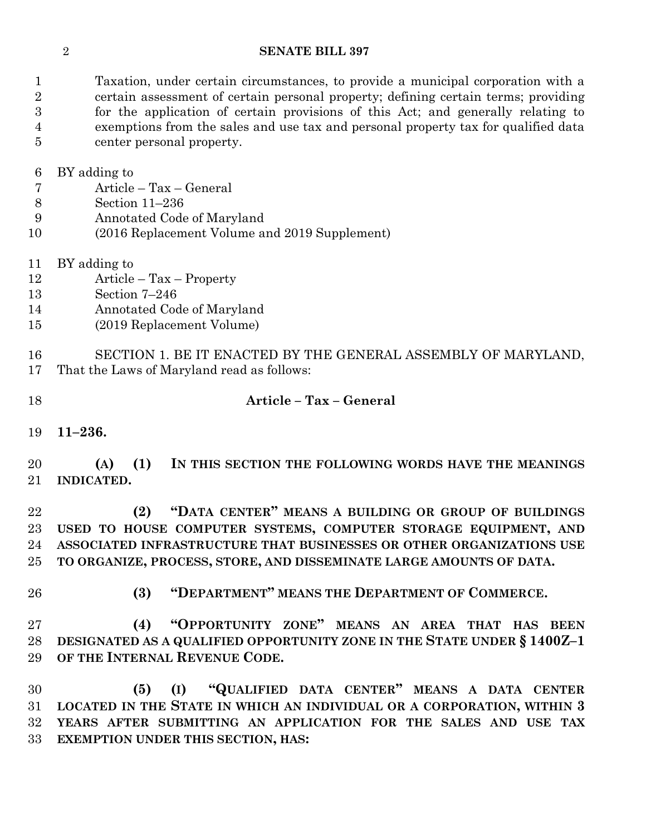#### **SENATE BILL 397**

 Taxation, under certain circumstances, to provide a municipal corporation with a certain assessment of certain personal property; defining certain terms; providing for the application of certain provisions of this Act; and generally relating to exemptions from the sales and use tax and personal property tax for qualified data center personal property.

BY adding to

- Article Tax General
- Section 11–236
- Annotated Code of Maryland
- (2016 Replacement Volume and 2019 Supplement)
- BY adding to
- Article Tax Property
- Section 7–246
- Annotated Code of Maryland
- (2019 Replacement Volume)

 SECTION 1. BE IT ENACTED BY THE GENERAL ASSEMBLY OF MARYLAND, That the Laws of Maryland read as follows:

- **Article – Tax – General**
- **11–236.**

 **(A) (1) IN THIS SECTION THE FOLLOWING WORDS HAVE THE MEANINGS INDICATED.**

 **(2) "DATA CENTER" MEANS A BUILDING OR GROUP OF BUILDINGS USED TO HOUSE COMPUTER SYSTEMS, COMPUTER STORAGE EQUIPMENT, AND ASSOCIATED INFRASTRUCTURE THAT BUSINESSES OR OTHER ORGANIZATIONS USE TO ORGANIZE, PROCESS, STORE, AND DISSEMINATE LARGE AMOUNTS OF DATA.**

- 
- **(3) "DEPARTMENT" MEANS THE DEPARTMENT OF COMMERCE.**

 **(4) "OPPORTUNITY ZONE" MEANS AN AREA THAT HAS BEEN DESIGNATED AS A QUALIFIED OPPORTUNITY ZONE IN THE STATE UNDER § 1400Z–1 OF THE INTERNAL REVENUE CODE.**

 **(5) (I) "QUALIFIED DATA CENTER" MEANS A DATA CENTER LOCATED IN THE STATE IN WHICH AN INDIVIDUAL OR A CORPORATION, WITHIN 3 YEARS AFTER SUBMITTING AN APPLICATION FOR THE SALES AND USE TAX EXEMPTION UNDER THIS SECTION, HAS:**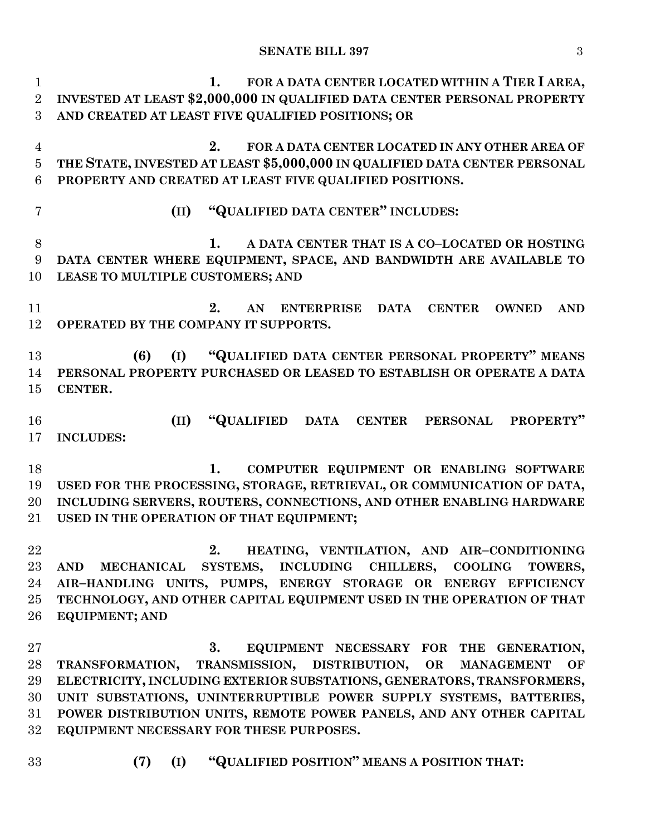| $\mathbf{1}$   | FOR A DATA CENTER LOCATED WITHIN A TIER I AREA,<br>1.                                       |
|----------------|---------------------------------------------------------------------------------------------|
| $\overline{2}$ | INVESTED AT LEAST \$2,000,000 IN QUALIFIED DATA CENTER PERSONAL PROPERTY                    |
| 3              | AND CREATED AT LEAST FIVE QUALIFIED POSITIONS; OR                                           |
| $\overline{4}$ | FOR A DATA CENTER LOCATED IN ANY OTHER AREA OF<br>2.                                        |
| $\bf 5$        | THE STATE, INVESTED AT LEAST \$5,000,000 IN QUALIFIED DATA CENTER PERSONAL                  |
| 6              | PROPERTY AND CREATED AT LEAST FIVE QUALIFIED POSITIONS.                                     |
| 7              | "QUALIFIED DATA CENTER" INCLUDES:<br>(II)                                                   |
| 8              | 1.<br>A DATA CENTER THAT IS A CO-LOCATED OR HOSTING                                         |
| 9              | DATA CENTER WHERE EQUIPMENT, SPACE, AND BANDWIDTH ARE AVAILABLE TO                          |
| 10             | LEASE TO MULTIPLE CUSTOMERS; AND                                                            |
| 11             | 2.<br><b>ENTERPRISE</b><br><b>DATA</b><br><b>CENTER</b><br><b>OWNED</b><br><b>AND</b><br>AN |
| 12             | OPERATED BY THE COMPANY IT SUPPORTS.                                                        |
| 13             | "QUALIFIED DATA CENTER PERSONAL PROPERTY" MEANS<br>(6)<br>(I)                               |
| 14             | PERSONAL PROPERTY PURCHASED OR LEASED TO ESTABLISH OR OPERATE A DATA                        |
| 15             | CENTER.                                                                                     |
|                |                                                                                             |
| 16             | "QUALIFIED DATA CENTER PERSONAL<br>(II)<br>PROPERTY"                                        |
| 17             | <b>INCLUDES:</b>                                                                            |
| 18             | COMPUTER EQUIPMENT OR ENABLING SOFTWARE<br>1.                                               |
| 19             | USED FOR THE PROCESSING, STORAGE, RETRIEVAL, OR COMMUNICATION OF DATA,                      |
| 20             | INCLUDING SERVERS, ROUTERS, CONNECTIONS, AND OTHER ENABLING HARDWARE                        |
| $21\,$         | USED IN THE OPERATION OF THAT EQUIPMENT;                                                    |
| 22             | 2.<br>HEATING, VENTILATION, AND AIR-CONDITIONING                                            |
| 23             | SYSTEMS, INCLUDING CHILLERS, COOLING TOWERS,<br><b>AND</b><br><b>MECHANICAL</b>             |
| 24             | AIR-HANDLING UNITS, PUMPS, ENERGY STORAGE OR ENERGY EFFICIENCY                              |
| $25\,$         | TECHNOLOGY, AND OTHER CAPITAL EQUIPMENT USED IN THE OPERATION OF THAT                       |
| 26             | <b>EQUIPMENT; AND</b>                                                                       |
|                |                                                                                             |
| $27\,$         | 3.<br>EQUIPMENT NECESSARY FOR THE GENERATION,                                               |
| 28             | TRANSMISSION, DISTRIBUTION,<br>OR<br>TRANSFORMATION,<br><b>MANAGEMENT</b><br>OF             |
| 29             | ELECTRICITY, INCLUDING EXTERIOR SUBSTATIONS, GENERATORS, TRANSFORMERS,                      |
| 30             | UNIT SUBSTATIONS, UNINTERRUPTIBLE POWER SUPPLY SYSTEMS, BATTERIES,                          |
| $31\,$         | POWER DISTRIBUTION UNITS, REMOTE POWER PANELS, AND ANY OTHER CAPITAL                        |
| $32\,$         | EQUIPMENT NECESSARY FOR THESE PURPOSES.                                                     |
|                |                                                                                             |

- 
- **(7) (I) "QUALIFIED POSITION" MEANS A POSITION THAT:**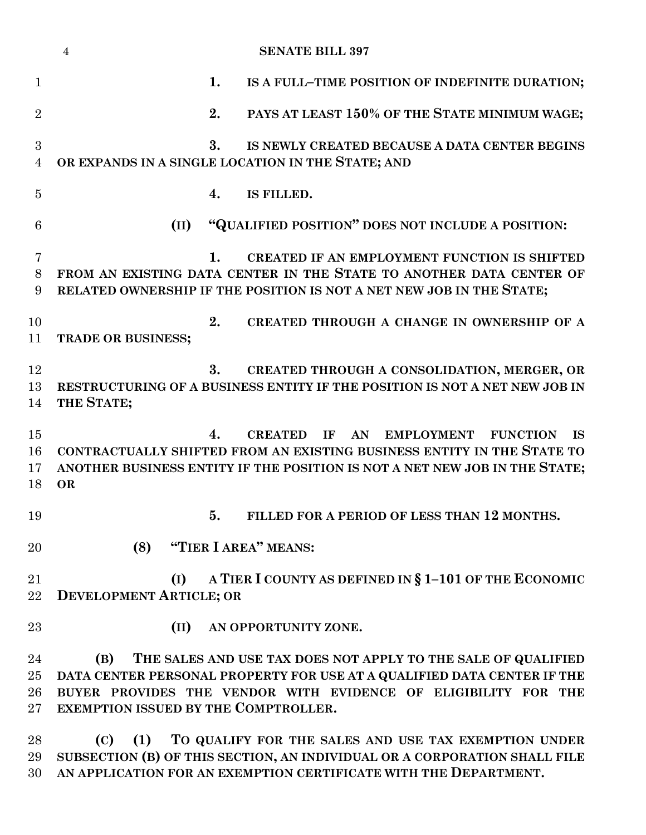|                          | $\overline{4}$<br><b>SENATE BILL 397</b>                                                                                                                                                                                                                   |
|--------------------------|------------------------------------------------------------------------------------------------------------------------------------------------------------------------------------------------------------------------------------------------------------|
| $\mathbf{1}$             | 1.<br>IS A FULL-TIME POSITION OF INDEFINITE DURATION;                                                                                                                                                                                                      |
| $\overline{2}$           | 2.<br>PAYS AT LEAST 150% OF THE STATE MINIMUM WAGE;                                                                                                                                                                                                        |
| 3<br>$\overline{4}$      | 3.<br>IS NEWLY CREATED BECAUSE A DATA CENTER BEGINS<br>OR EXPANDS IN A SINGLE LOCATION IN THE STATE; AND                                                                                                                                                   |
| $\overline{5}$           | IS FILLED.<br>4.                                                                                                                                                                                                                                           |
| 6                        | "QUALIFIED POSITION" DOES NOT INCLUDE A POSITION:<br>(II)                                                                                                                                                                                                  |
| $\overline{7}$<br>8<br>9 | $\mathbf{1}_{\cdot}$<br>CREATED IF AN EMPLOYMENT FUNCTION IS SHIFTED<br>FROM AN EXISTING DATA CENTER IN THE STATE TO ANOTHER DATA CENTER OF<br>RELATED OWNERSHIP IF THE POSITION IS NOT A NET NEW JOB IN THE STATE;                                        |
| 10<br>11                 | 2.<br>CREATED THROUGH A CHANGE IN OWNERSHIP OF A<br><b>TRADE OR BUSINESS;</b>                                                                                                                                                                              |
| 12<br>13<br>14           | 3.<br>CREATED THROUGH A CONSOLIDATION, MERGER, OR<br>RESTRUCTURING OF A BUSINESS ENTITY IF THE POSITION IS NOT A NET NEW JOB IN<br>THE STATE;                                                                                                              |
| 15<br>16<br>17<br>18     | 4.<br><b>CREATED</b><br>IF<br>AN<br><b>EMPLOYMENT</b><br><b>FUNCTION</b><br><b>IS</b><br>CONTRACTUALLY SHIFTED FROM AN EXISTING BUSINESS ENTITY IN THE STATE TO<br>ANOTHER BUSINESS ENTITY IF THE POSITION IS NOT A NET NEW JOB IN THE STATE;<br><b>OR</b> |
| 19                       | 5. FILLED FOR A PERIOD OF LESS THAN 12 MONTHS.                                                                                                                                                                                                             |
| 20                       | "TIER I AREA" MEANS:<br>(8)                                                                                                                                                                                                                                |
| 21<br>22                 | A TIER I COUNTY AS DEFINED IN § 1-101 OF THE ECONOMIC<br>(I)<br><b>DEVELOPMENT ARTICLE; OR</b>                                                                                                                                                             |
| 23                       | (II)<br>AN OPPORTUNITY ZONE.                                                                                                                                                                                                                               |
| 24<br>25<br>26<br>$27\,$ | THE SALES AND USE TAX DOES NOT APPLY TO THE SALE OF QUALIFIED<br>(B)<br>DATA CENTER PERSONAL PROPERTY FOR USE AT A QUALIFIED DATA CENTER IF THE<br>BUYER PROVIDES THE VENDOR WITH EVIDENCE OF ELIGIBILITY FOR THE<br>EXEMPTION ISSUED BY THE COMPTROLLER.  |

 **(C) (1) TO QUALIFY FOR THE SALES AND USE TAX EXEMPTION UNDER SUBSECTION (B) OF THIS SECTION, AN INDIVIDUAL OR A CORPORATION SHALL FILE AN APPLICATION FOR AN EXEMPTION CERTIFICATE WITH THE DEPARTMENT.**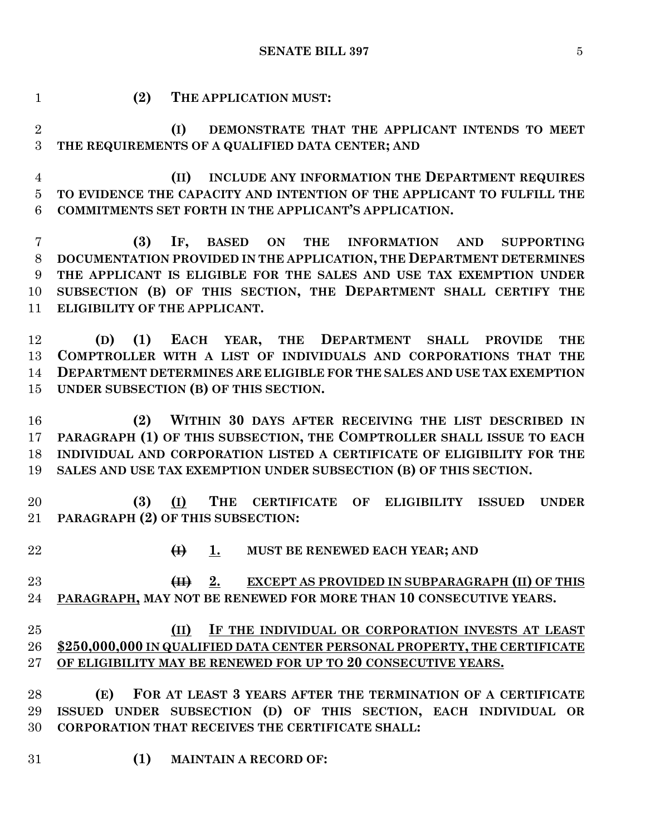**SENATE BILL 397** 5

 **(2) THE APPLICATION MUST: (I) DEMONSTRATE THAT THE APPLICANT INTENDS TO MEET THE REQUIREMENTS OF A QUALIFIED DATA CENTER; AND (II) INCLUDE ANY INFORMATION THE DEPARTMENT REQUIRES TO EVIDENCE THE CAPACITY AND INTENTION OF THE APPLICANT TO FULFILL THE COMMITMENTS SET FORTH IN THE APPLICANT'S APPLICATION. (3) IF, BASED ON THE INFORMATION AND SUPPORTING DOCUMENTATION PROVIDED IN THE APPLICATION, THE DEPARTMENT DETERMINES THE APPLICANT IS ELIGIBLE FOR THE SALES AND USE TAX EXEMPTION UNDER SUBSECTION (B) OF THIS SECTION, THE DEPARTMENT SHALL CERTIFY THE ELIGIBILITY OF THE APPLICANT. (D) (1) EACH YEAR, THE DEPARTMENT SHALL PROVIDE THE COMPTROLLER WITH A LIST OF INDIVIDUALS AND CORPORATIONS THAT THE DEPARTMENT DETERMINES ARE ELIGIBLE FOR THE SALES AND USE TAX EXEMPTION UNDER SUBSECTION (B) OF THIS SECTION. (2) WITHIN 30 DAYS AFTER RECEIVING THE LIST DESCRIBED IN PARAGRAPH (1) OF THIS SUBSECTION, THE COMPTROLLER SHALL ISSUE TO EACH INDIVIDUAL AND CORPORATION LISTED A CERTIFICATE OF ELIGIBILITY FOR THE SALES AND USE TAX EXEMPTION UNDER SUBSECTION (B) OF THIS SECTION. (3) (I) THE CERTIFICATE OF ELIGIBILITY ISSUED UNDER PARAGRAPH (2) OF THIS SUBSECTION: (I) 1. MUST BE RENEWED EACH YEAR; AND (II) 2. EXCEPT AS PROVIDED IN SUBPARAGRAPH (II) OF THIS PARAGRAPH, MAY NOT BE RENEWED FOR MORE THAN 10 CONSECUTIVE YEARS. (II) IF THE INDIVIDUAL OR CORPORATION INVESTS AT LEAST \$250,000,000 IN QUALIFIED DATA CENTER PERSONAL PROPERTY, THE CERTIFICATE OF ELIGIBILITY MAY BE RENEWED FOR UP TO 20 CONSECUTIVE YEARS. (E) FOR AT LEAST 3 YEARS AFTER THE TERMINATION OF A CERTIFICATE ISSUED UNDER SUBSECTION (D) OF THIS SECTION, EACH INDIVIDUAL OR CORPORATION THAT RECEIVES THE CERTIFICATE SHALL: (1) MAINTAIN A RECORD OF:**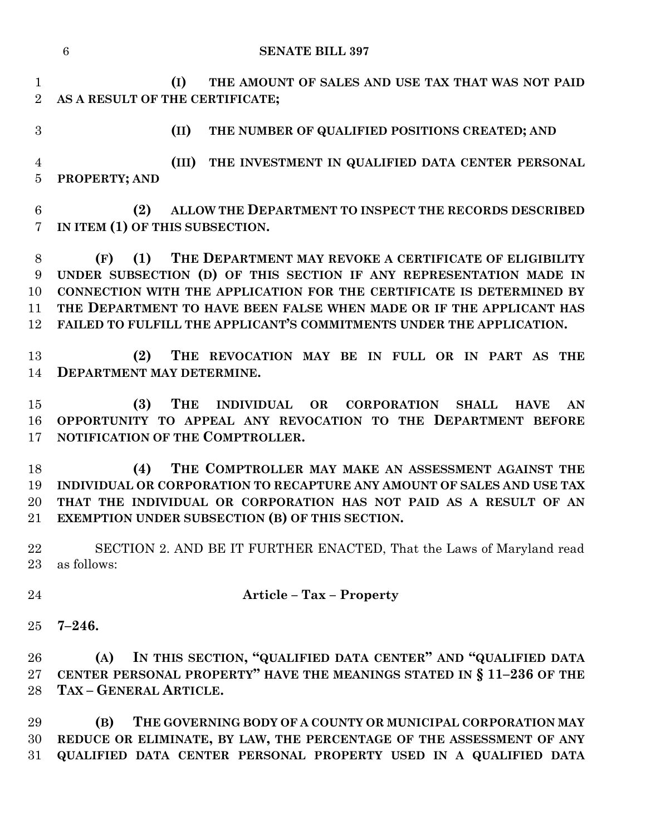|                                  | $6\phantom{.}6$<br><b>SENATE BILL 397</b>                                                                                                                                                                                                                                                                                                                         |
|----------------------------------|-------------------------------------------------------------------------------------------------------------------------------------------------------------------------------------------------------------------------------------------------------------------------------------------------------------------------------------------------------------------|
| $\mathbf{1}$<br>$\overline{2}$   | (I)<br>THE AMOUNT OF SALES AND USE TAX THAT WAS NOT PAID<br>AS A RESULT OF THE CERTIFICATE;                                                                                                                                                                                                                                                                       |
| 3                                | (II)<br>THE NUMBER OF QUALIFIED POSITIONS CREATED; AND                                                                                                                                                                                                                                                                                                            |
| $\overline{4}$<br>$\overline{5}$ | (III) THE INVESTMENT IN QUALIFIED DATA CENTER PERSONAL<br>PROPERTY; AND                                                                                                                                                                                                                                                                                           |
| $6\phantom{.}6$<br>7             | ALLOW THE DEPARTMENT TO INSPECT THE RECORDS DESCRIBED<br>(2)<br>IN ITEM (1) OF THIS SUBSECTION.                                                                                                                                                                                                                                                                   |
| 8<br>9<br>10<br>11<br>12         | (1)<br>THE DEPARTMENT MAY REVOKE A CERTIFICATE OF ELIGIBILITY<br>(F)<br>UNDER SUBSECTION (D) OF THIS SECTION IF ANY REPRESENTATION MADE IN<br>CONNECTION WITH THE APPLICATION FOR THE CERTIFICATE IS DETERMINED BY<br>THE DEPARTMENT TO HAVE BEEN FALSE WHEN MADE OR IF THE APPLICANT HAS<br>FAILED TO FULFILL THE APPLICANT'S COMMITMENTS UNDER THE APPLICATION. |
| 13<br>14                         | THE REVOCATION MAY BE IN FULL OR IN PART AS THE<br>(2)<br>DEPARTMENT MAY DETERMINE.                                                                                                                                                                                                                                                                               |
| 15<br>16<br>17                   | <b>THE</b><br>(3)<br>INDIVIDUAL OR CORPORATION<br><b>SHALL</b><br><b>HAVE</b><br>AN<br>OPPORTUNITY TO APPEAL ANY REVOCATION TO THE DEPARTMENT BEFORE<br>NOTIFICATION OF THE COMPTROLLER.                                                                                                                                                                          |
| 18<br>19<br>20                   | THE COMPTROLLER MAY MAKE AN ASSESSMENT AGAINST THE<br>(4)<br>INDIVIDUAL OR CORPORATION TO RECAPTURE ANY AMOUNT OF SALES AND USE TAX<br>THAT THE INDIVIDUAL OR CORPORATION HAS NOT PAID AS A RESULT OF AN<br>21 EXEMPTION UNDER SUBSECTION (B) OF THIS SECTION.                                                                                                    |
| 22<br>23                         | SECTION 2. AND BE IT FURTHER ENACTED, That the Laws of Maryland read<br>as follows:                                                                                                                                                                                                                                                                               |
| 24                               | <b>Article - Tax - Property</b>                                                                                                                                                                                                                                                                                                                                   |
| 25                               | $7 - 246.$                                                                                                                                                                                                                                                                                                                                                        |
| 26<br>27<br>28                   | IN THIS SECTION, "QUALIFIED DATA CENTER" AND "QUALIFIED DATA<br>(A)<br>CENTER PERSONAL PROPERTY" HAVE THE MEANINGS STATED IN § 11-236 OF THE<br>TAX - GENERAL ARTICLE.                                                                                                                                                                                            |
| 29<br>30<br>31                   | (B)<br>THE GOVERNING BODY OF A COUNTY OR MUNICIPAL CORPORATION MAY<br>REDUCE OR ELIMINATE, BY LAW, THE PERCENTAGE OF THE ASSESSMENT OF ANY<br>QUALIFIED DATA CENTER PERSONAL PROPERTY USED IN A QUALIFIED DATA                                                                                                                                                    |